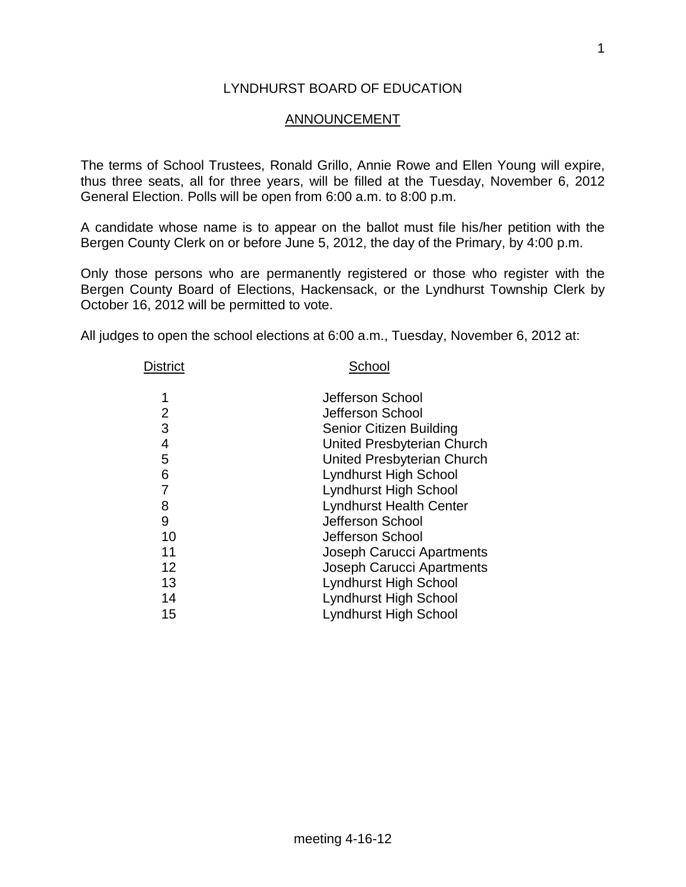#### LYNDHURST BOARD OF EDUCATION

#### ANNOUNCEMENT

The terms of School Trustees, Ronald Grillo, Annie Rowe and Ellen Young will expire, thus three seats, all for three years, will be filled at the Tuesday, November 6, 2012 General Election. Polls will be open from 6:00 a.m. to 8:00 p.m.

A candidate whose name is to appear on the ballot must file his/her petition with the Bergen County Clerk on or before June 5, 2012, the day of the Primary, by 4:00 p.m.

Only those persons who are permanently registered or those who register with the Bergen County Board of Elections, Hackensack, or the Lyndhurst Township Clerk by October 16, 2012 will be permitted to vote.

All judges to open the school elections at 6:00 a.m., Tuesday, November 6, 2012 at:

| <b>District</b> | School                           |  |  |
|-----------------|----------------------------------|--|--|
| 1               | Jefferson School                 |  |  |
| 2               | Jefferson School                 |  |  |
| 3               | <b>Senior Citizen Building</b>   |  |  |
| 4               | United Presbyterian Church       |  |  |
| 5               | United Presbyterian Church       |  |  |
| 6               | Lyndhurst High School            |  |  |
| 7               | <b>Lyndhurst High School</b>     |  |  |
| 8               | <b>Lyndhurst Health Center</b>   |  |  |
| 9               | Jefferson School                 |  |  |
| 10              | Jefferson School                 |  |  |
| 11              | Joseph Carucci Apartments        |  |  |
| 12              | <b>Joseph Carucci Apartments</b> |  |  |
| 13              | <b>Lyndhurst High School</b>     |  |  |
| 14              | Lyndhurst High School            |  |  |
| 15              | <b>Lyndhurst High School</b>     |  |  |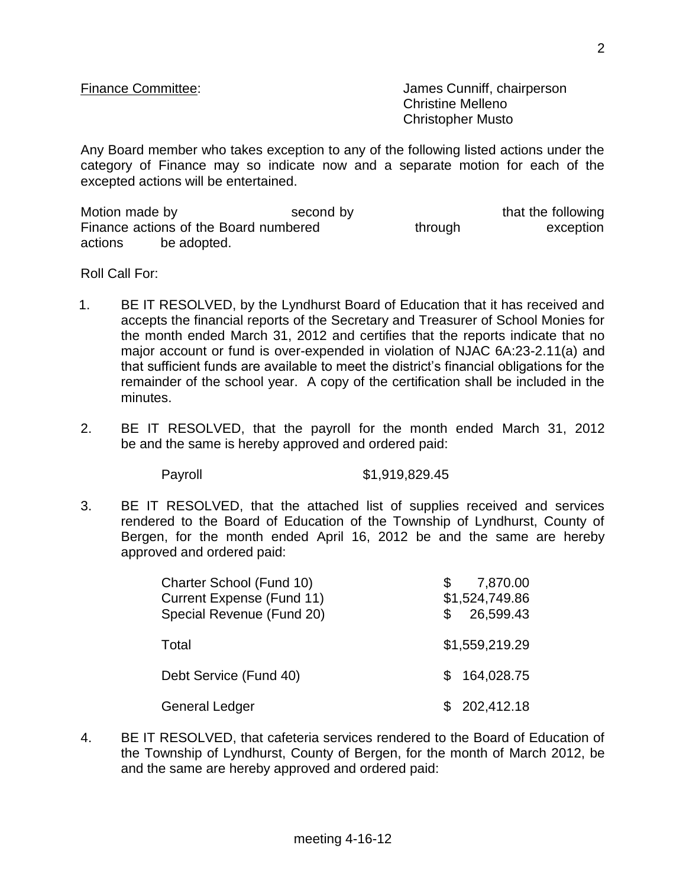Finance Committee:  $\blacksquare$  James Cunniff, chairperson Christine Melleno Christopher Musto

Any Board member who takes exception to any of the following listed actions under the category of Finance may so indicate now and a separate motion for each of the excepted actions will be entertained.

Motion made by the second by that the following that the following Finance actions of the Board numbered through through exception actions be adopted.

Roll Call For:

- 1. BE IT RESOLVED, by the Lyndhurst Board of Education that it has received and accepts the financial reports of the Secretary and Treasurer of School Monies for the month ended March 31, 2012 and certifies that the reports indicate that no major account or fund is over-expended in violation of NJAC 6A:23-2.11(a) and that sufficient funds are available to meet the district's financial obligations for the remainder of the school year. A copy of the certification shall be included in the minutes.
- 2. BE IT RESOLVED, that the payroll for the month ended March 31, 2012 be and the same is hereby approved and ordered paid:

Payroll \$1,919,829.45

3. BE IT RESOLVED, that the attached list of supplies received and services rendered to the Board of Education of the Township of Lyndhurst, County of Bergen, for the month ended April 16, 2012 be and the same are hereby approved and ordered paid:

| Charter School (Fund 10)<br><b>Current Expense (Fund 11)</b><br>Special Revenue (Fund 20) | 7,870.00<br>\$1,524,749.86<br>26,599.43 |
|-------------------------------------------------------------------------------------------|-----------------------------------------|
| Total                                                                                     | \$1,559,219.29                          |
| Debt Service (Fund 40)                                                                    | \$164,028.75                            |
| <b>General Ledger</b>                                                                     | 202,412.18                              |

4. BE IT RESOLVED, that cafeteria services rendered to the Board of Education of the Township of Lyndhurst, County of Bergen, for the month of March 2012, be and the same are hereby approved and ordered paid: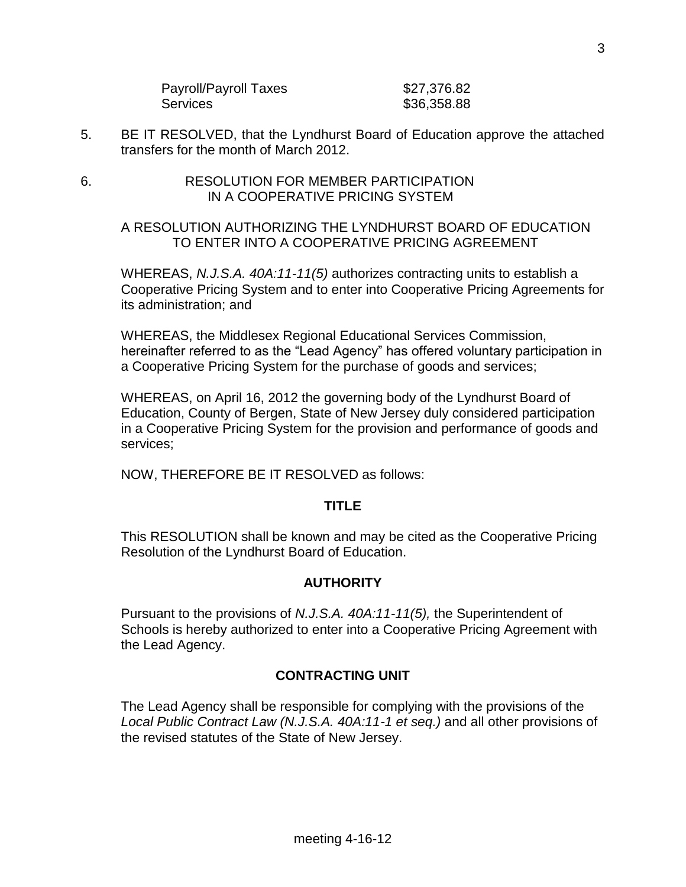| Payroll/Payroll Taxes | \$27,376.82 |
|-----------------------|-------------|
| Services              | \$36,358.88 |

- 5. BE IT RESOLVED, that the Lyndhurst Board of Education approve the attached transfers for the month of March 2012.
- 6. RESOLUTION FOR MEMBER PARTICIPATION IN A COOPERATIVE PRICING SYSTEM

### A RESOLUTION AUTHORIZING THE LYNDHURST BOARD OF EDUCATION TO ENTER INTO A COOPERATIVE PRICING AGREEMENT

WHEREAS, *N.J.S.A. 40A:11-11(5)* authorizes contracting units to establish a Cooperative Pricing System and to enter into Cooperative Pricing Agreements for its administration; and

WHEREAS, the Middlesex Regional Educational Services Commission, hereinafter referred to as the "Lead Agency" has offered voluntary participation in a Cooperative Pricing System for the purchase of goods and services;

WHEREAS, on April 16, 2012 the governing body of the Lyndhurst Board of Education, County of Bergen, State of New Jersey duly considered participation in a Cooperative Pricing System for the provision and performance of goods and services;

NOW, THEREFORE BE IT RESOLVED as follows:

### **TITLE**

This RESOLUTION shall be known and may be cited as the Cooperative Pricing Resolution of the Lyndhurst Board of Education.

# **AUTHORITY**

Pursuant to the provisions of *N.J.S.A. 40A:11-11(5),* the Superintendent of Schools is hereby authorized to enter into a Cooperative Pricing Agreement with the Lead Agency.

# **CONTRACTING UNIT**

The Lead Agency shall be responsible for complying with the provisions of the *Local Public Contract Law (N.J.S.A. 40A:11-1 et seq.)* and all other provisions of the revised statutes of the State of New Jersey.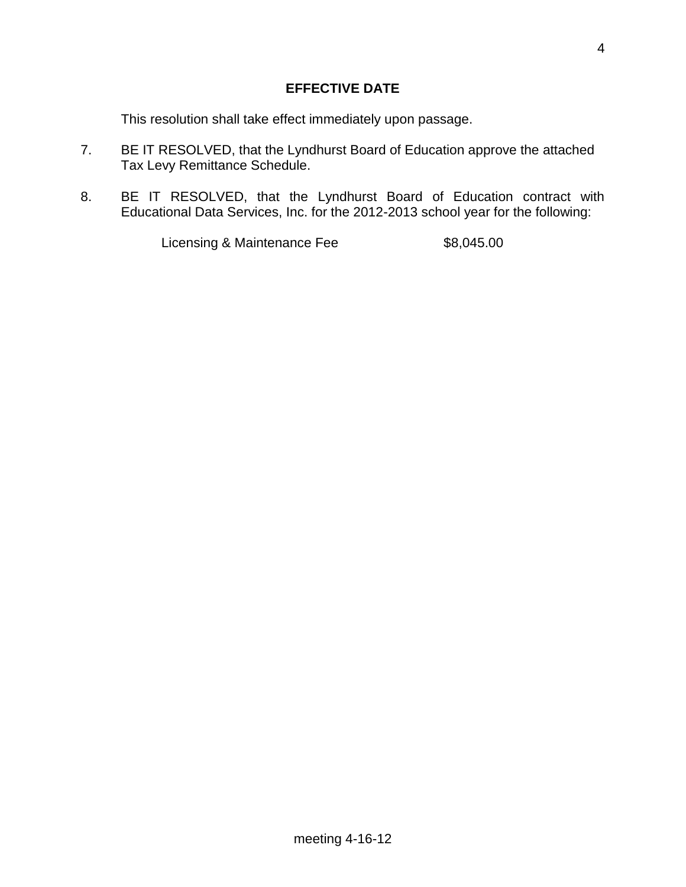This resolution shall take effect immediately upon passage.

- 7. BE IT RESOLVED, that the Lyndhurst Board of Education approve the attached Tax Levy Remittance Schedule.
- 8. BE IT RESOLVED, that the Lyndhurst Board of Education contract with Educational Data Services, Inc. for the 2012-2013 school year for the following:

Licensing & Maintenance Fee \$8,045.00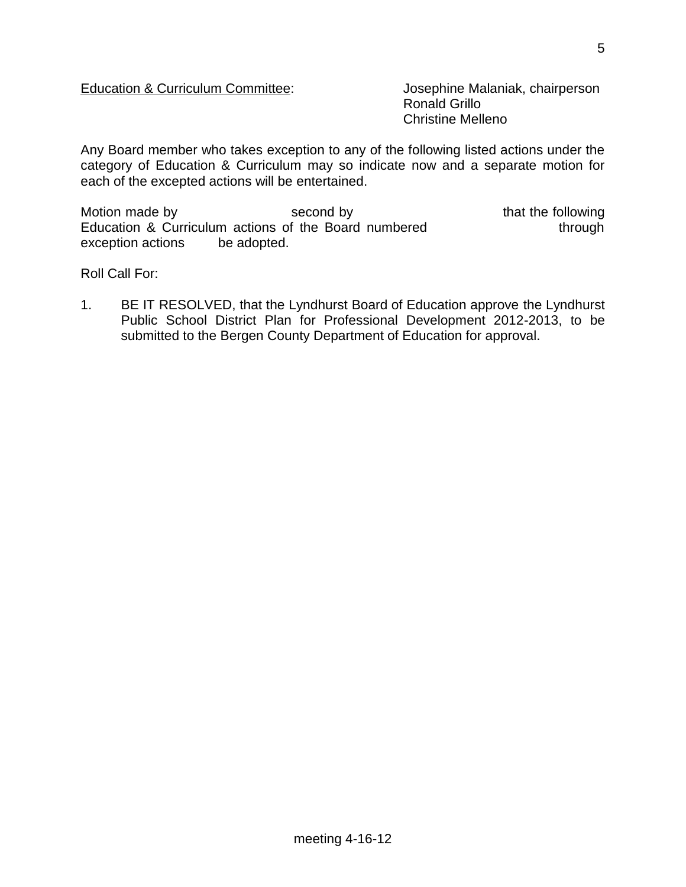## Education & Curriculum Committee: Josephine Malaniak, chairperson

Ronald Grillo Christine Melleno

Any Board member who takes exception to any of the following listed actions under the category of Education & Curriculum may so indicate now and a separate motion for each of the excepted actions will be entertained.

Motion made by second by second by that the following Education & Curriculum actions of the Board numbered through exception actions be adopted.

Roll Call For:

1. BE IT RESOLVED, that the Lyndhurst Board of Education approve the Lyndhurst Public School District Plan for Professional Development 2012-2013, to be submitted to the Bergen County Department of Education for approval.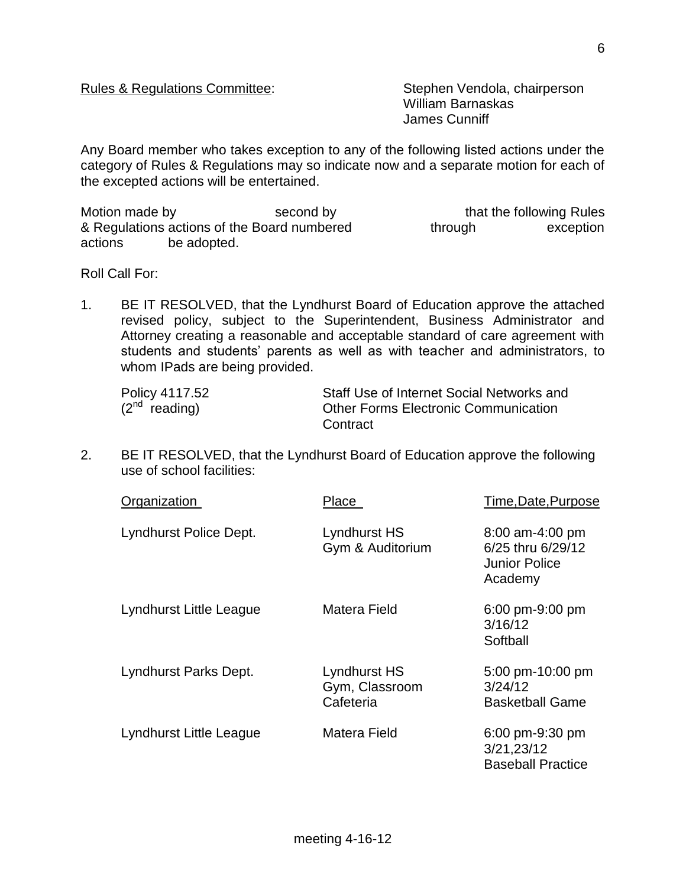#### Rules & Regulations Committee: Stephen Vendola, chairperson

William Barnaskas James Cunniff

Any Board member who takes exception to any of the following listed actions under the category of Rules & Regulations may so indicate now and a separate motion for each of the excepted actions will be entertained.

Motion made by that the following Rules & Regulations actions of the Board numbered through exception actions be adopted.

Roll Call For:

1. BE IT RESOLVED, that the Lyndhurst Board of Education approve the attached revised policy, subject to the Superintendent, Business Administrator and Attorney creating a reasonable and acceptable standard of care agreement with students and students' parents as well as with teacher and administrators, to whom IPads are being provided.

| Policy 4117.52     | Staff Use of Internet Social Networks and   |
|--------------------|---------------------------------------------|
| $(2^{nd}$ reading) | <b>Other Forms Electronic Communication</b> |
|                    | Contract                                    |

2. BE IT RESOLVED, that the Lyndhurst Board of Education approve the following use of school facilities:

| Organization            | Place                                       | Time, Date, Purpose                                                       |
|-------------------------|---------------------------------------------|---------------------------------------------------------------------------|
| Lyndhurst Police Dept.  | Lyndhurst HS<br>Gym & Auditorium            | $8:00$ am-4:00 pm<br>6/25 thru 6/29/12<br><b>Junior Police</b><br>Academy |
| Lyndhurst Little League | Matera Field                                | 6:00 pm-9:00 pm<br>3/16/12<br>Softball                                    |
| Lyndhurst Parks Dept.   | Lyndhurst HS<br>Gym, Classroom<br>Cafeteria | 5:00 pm-10:00 pm<br>3/24/12<br><b>Basketball Game</b>                     |
| Lyndhurst Little League | Matera Field                                | 6:00 pm-9:30 pm<br>3/21,23/12<br><b>Baseball Practice</b>                 |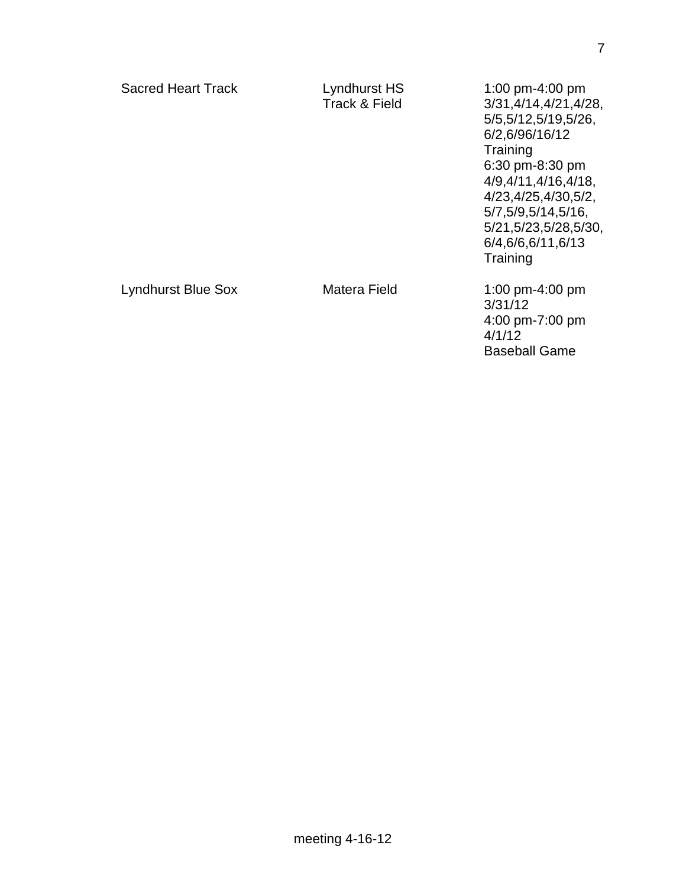**Training** 

**Training** 

6:30 pm-8:30 pm 4/9,4/11,4/16,4/18, 4/23,4/25,4/30,5/2, 5/7,5/9,5/14,5/16, 5/21,5/23,5/28,5/30, 6/4,6/6,6/11,6/13

Lyndhurst Blue Sox Matera Field 1:00 pm-4:00 pm

3/31/12 4:00 pm-7:00 pm 4/1/12 Baseball Game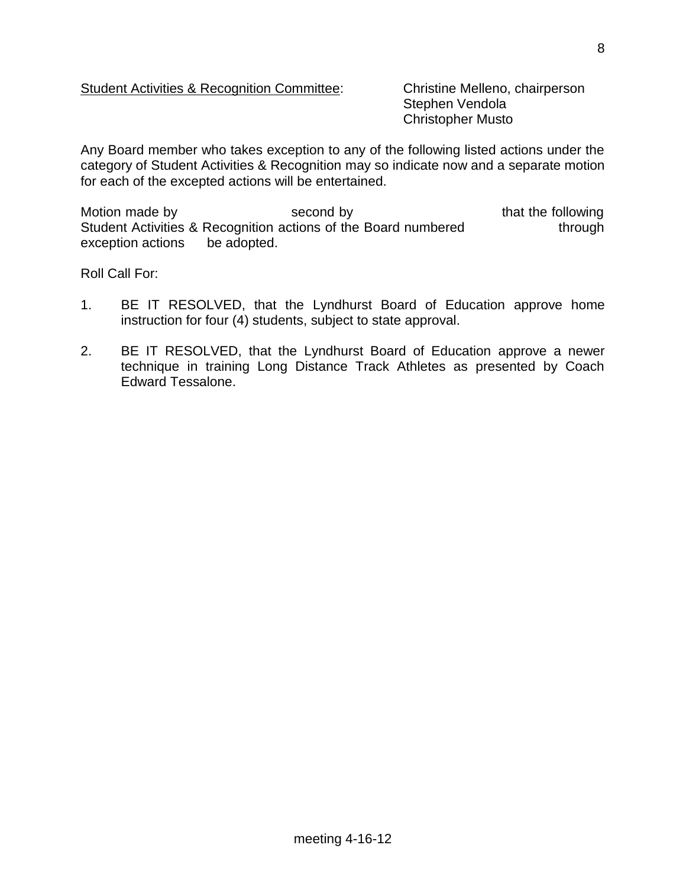## Student Activities & Recognition Committee: Christine Melleno, chairperson

Stephen Vendola Christopher Musto

Any Board member who takes exception to any of the following listed actions under the category of Student Activities & Recognition may so indicate now and a separate motion for each of the excepted actions will be entertained.

Motion made by the second by that the following that the following Student Activities & Recognition actions of the Board numbered through exception actions be adopted.

Roll Call For:

- 1. BE IT RESOLVED, that the Lyndhurst Board of Education approve home instruction for four (4) students, subject to state approval.
- 2. BE IT RESOLVED, that the Lyndhurst Board of Education approve a newer technique in training Long Distance Track Athletes as presented by Coach Edward Tessalone.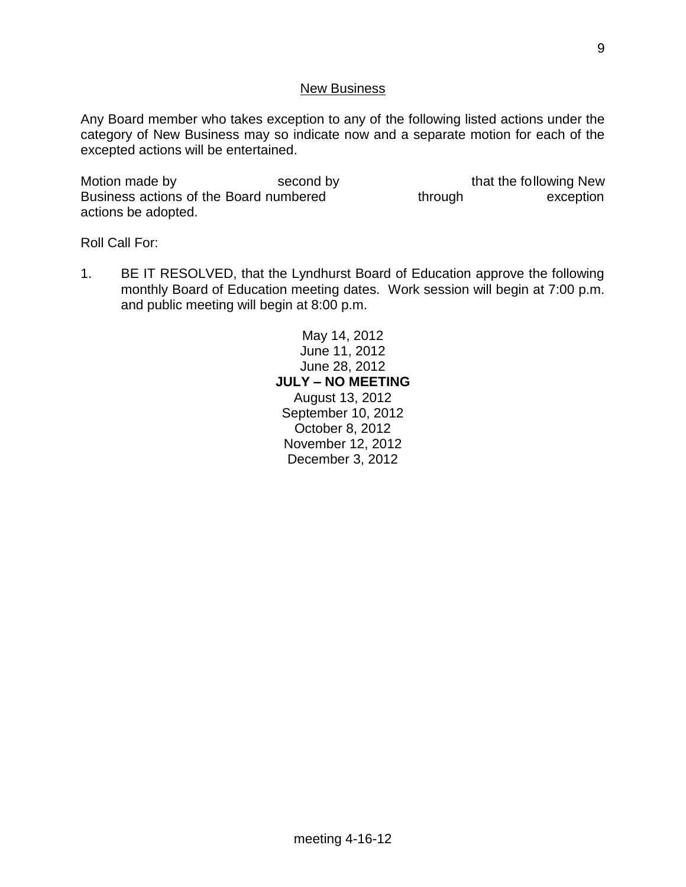#### New Business

Any Board member who takes exception to any of the following listed actions under the category of New Business may so indicate now and a separate motion for each of the excepted actions will be entertained.

Motion made by second by second by that the following New Business actions of the Board numbered through through exception actions be adopted.

Roll Call For:

1. BE IT RESOLVED, that the Lyndhurst Board of Education approve the following monthly Board of Education meeting dates. Work session will begin at 7:00 p.m. and public meeting will begin at 8:00 p.m.

> May 14, 2012 June 11, 2012 June 28, 2012 **JULY – NO MEETING** August 13, 2012 September 10, 2012 October 8, 2012 November 12, 2012 December 3, 2012